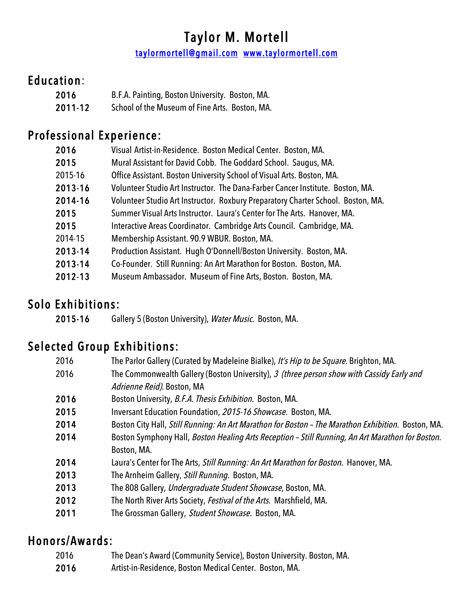## Taylor M. Mortell

taylormortell@gmail.com www.taylormortell.com

#### Education:

| 2016    | B.F.A. Painting, Boston University. Boston, MA. |
|---------|-------------------------------------------------|
| 2011-12 | School of the Museum of Fine Arts. Boston, MA.  |

#### Professional Experience:

| 2016    | Visual Artist-in-Residence. Boston Medical Center. Boston, MA.                   |
|---------|----------------------------------------------------------------------------------|
| 2015    | Mural Assistant for David Cobb. The Goddard School. Saugus, MA.                  |
| 2015-16 | Office Assistant. Boston University School of Visual Arts. Boston, MA.           |
| 2013-16 | Volunteer Studio Art Instructor. The Dana-Farber Cancer Institute. Boston, MA.   |
| 2014-16 | Volunteer Studio Art Instructor. Roxbury Preparatory Charter School. Boston, MA. |
| 2015    | Summer Visual Arts Instructor. Laura's Center for The Arts. Hanover, MA.         |
| 2015    | Interactive Areas Coordinator. Cambridge Arts Council. Cambridge, MA.            |
| 2014-15 | Membership Assistant. 90.9 WBUR. Boston, MA.                                     |
| 2013-14 | Production Assistant. Hugh O'Donnell/Boston University. Boston, MA.              |
| 2013-14 | Co-Founder. Still Running: An Art Marathon for Boston. Boston, MA.               |
| 2012-13 | Museum Ambassador. Museum of Fine Arts, Boston. Boston, MA.                      |

#### Solo Exhibitions:

2015-16 Gallery 5 (Boston University), Water Music. Boston, MA.

#### Selected Group Exhibitions:

| 2016 | The Parlor Gallery (Curated by Madeleine Bialke), It's Hip to be Square. Brighton, MA.             |
|------|----------------------------------------------------------------------------------------------------|
| 2016 | The Commonwealth Gallery (Boston University), 3 (three person show with Cassidy Early and          |
|      | Adrienne Reid). Boston, MA                                                                         |
| 2016 | Boston University, B.F.A. Thesis Exhibition. Boston, MA.                                           |
| 2015 | Inversant Education Foundation, 2015-16 Showcase. Boston, MA.                                      |
| 2014 | Boston City Hall, Still Running: An Art Marathon for Boston - The Marathon Exhibition. Boston, MA. |
| 2014 | Boston Symphony Hall, Boston Healing Arts Reception - Still Running, An Art Marathon for Boston.   |
|      | Boston, MA.                                                                                        |
| 2014 | Laura's Center for The Arts, Still Running: An Art Marathon for Boston. Hanover, MA.               |
| 2013 | The Arnheim Gallery, Still Running. Boston, MA.                                                    |
| 2013 | The 808 Gallery, Undergraduate Student Showcase, Boston, MA.                                       |
| 2012 | The North River Arts Society, Festival of the Arts. Marshfield, MA.                                |
| 2011 | The Grossman Gallery, Student Showcase. Boston, MA.                                                |

#### Honors/Awards:

- 2016 The Dean's Award (Community Service), Boston University. Boston, MA.
- 2016 Artist-in-Residence, Boston Medical Center. Boston, MA.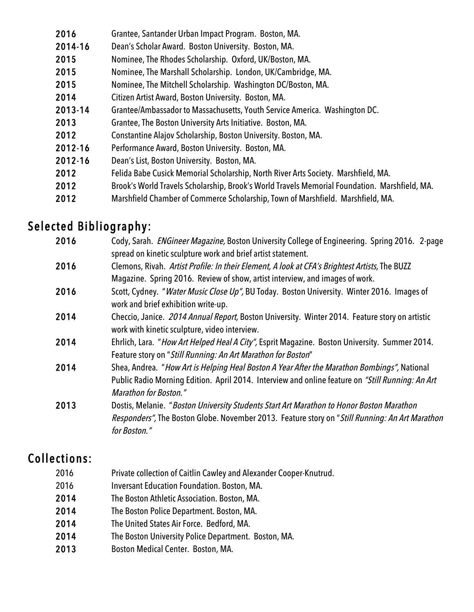| 2016    | Grantee, Santander Urban Impact Program. Boston, MA.                                          |
|---------|-----------------------------------------------------------------------------------------------|
| 2014-16 | Dean's Scholar Award. Boston University. Boston, MA.                                          |
| 2015    | Nominee, The Rhodes Scholarship. Oxford, UK/Boston, MA.                                       |
| 2015    | Nominee, The Marshall Scholarship. London, UK/Cambridge, MA.                                  |
| 2015    | Nominee, The Mitchell Scholarship. Washington DC/Boston, MA.                                  |
| 2014    | Citizen Artist Award, Boston University. Boston, MA.                                          |
| 2013-14 | Grantee/Ambassador to Massachusetts, Youth Service America. Washington DC.                    |
| 2013    | Grantee, The Boston University Arts Initiative. Boston, MA.                                   |
| 2012    | Constantine Alajov Scholarship, Boston University. Boston, MA.                                |
| 2012-16 | Performance Award, Boston University. Boston, MA.                                             |
| 2012-16 | Dean's List, Boston University. Boston, MA.                                                   |
| 2012    | Felida Babe Cusick Memorial Scholarship, North River Arts Society. Marshfield, MA.            |
| 2012    | Brook's World Travels Scholarship, Brook's World Travels Memorial Foundation. Marshfield, MA. |
| 2012    | Marshfield Chamber of Commerce Scholarship, Town of Marshfield. Marshfield, MA.               |
|         |                                                                                               |

# Selected Bibliography:

| 2016 | Cody, Sarah. ENGineer Magazine, Boston University College of Engineering. Spring 2016. 2-page<br>spread on kinetic sculpture work and brief artist statement.                                                                   |
|------|---------------------------------------------------------------------------------------------------------------------------------------------------------------------------------------------------------------------------------|
| 2016 | Clemons, Rivah. Artist Profile: In their Element, A look at CFA's Brightest Artists, The BUZZ<br>Magazine. Spring 2016. Review of show, artist interview, and images of work.                                                   |
| 2016 | Scott, Cydney. "Water Music Close Up", BU Today. Boston University. Winter 2016. Images of<br>work and brief exhibition write-up.                                                                                               |
| 2014 | Checcio, Janice. 2014 Annual Report, Boston University. Winter 2014. Feature story on artistic<br>work with kinetic sculpture, video interview.                                                                                 |
| 2014 | Ehrlich, Lara. "How Art Helped Heal A City", Esprit Magazine. Boston University. Summer 2014.<br>Feature story on "Still Running: An Art Marathon for Boston"                                                                   |
| 2014 | Shea, Andrea. "How Art is Helping Heal Boston A Year After the Marathon Bombings", National<br>Public Radio Morning Edition. April 2014. Interview and online feature on "Still Running: An Art<br><b>Marathon for Boston."</b> |
| 2013 | Dostis, Melanie. "Boston University Students Start Art Marathon to Honor Boston Marathon<br>Responders", The Boston Globe. November 2013. Feature story on "Still Running: An Art Marathon<br>for Boston."                      |

### Collections:

| 2016 | Private collection of Caitlin Cawley and Alexander Cooper-Knutrud. |
|------|--------------------------------------------------------------------|
| 2016 | <b>Inversant Education Foundation. Boston, MA.</b>                 |
| 2014 | The Boston Athletic Association. Boston, MA.                       |
| 2014 | The Boston Police Department. Boston, MA.                          |
| 2014 | The United States Air Force. Bedford, MA.                          |
| 2014 | The Boston University Police Department. Boston, MA.               |
| 2013 | Boston Medical Center. Boston, MA.                                 |
|      |                                                                    |